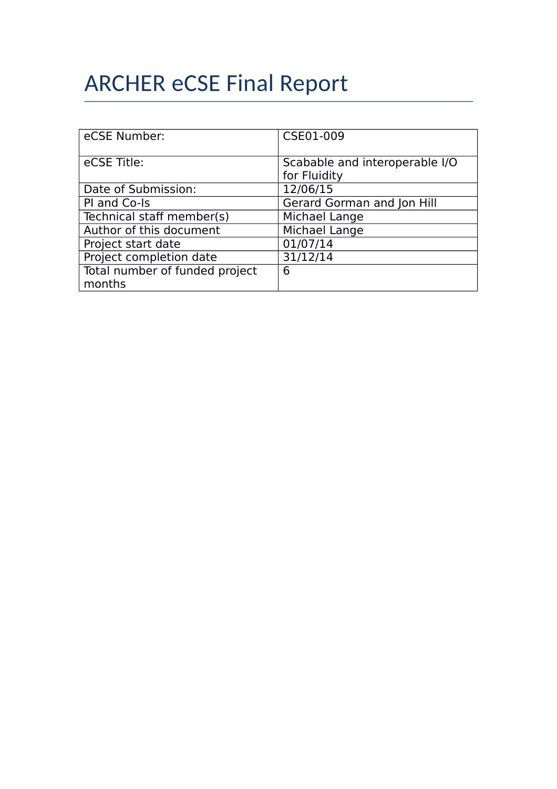# ARCHER eCSE Final Report

| eCSE Number:                             | CSE01-009                                      |
|------------------------------------------|------------------------------------------------|
| eCSE Title:                              | Scabable and interoperable I/O<br>for Fluidity |
| Date of Submission:                      | 12/06/15                                       |
| PI and Co-Is                             | Gerard Gorman and Jon Hill                     |
| Technical staff member(s)                | Michael Lange                                  |
| Author of this document                  | Michael Lange                                  |
| Project start date                       | 01/07/14                                       |
| Project completion date                  | 31/12/14                                       |
| Total number of funded project<br>months | 6                                              |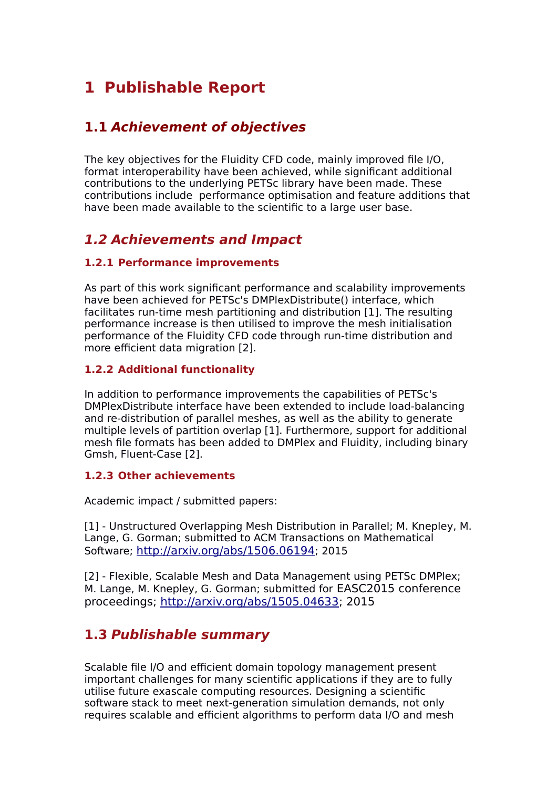# **1 Publishable Report**

# **1.1 Achievement of objectives**

The key objectives for the Fluidity CFD code, mainly improved file I/O, format interoperability have been achieved, while significant additional contributions to the underlying PETSc library have been made. These contributions include performance optimisation and feature additions that have been made available to the scientific to a large user base.

## **1.2 Achievements and Impact**

#### **1.2.1 Performance improvements**

As part of this work significant performance and scalability improvements have been achieved for PETSc's DMPlexDistribute() interface, which facilitates run-time mesh partitioning and distribution [1]. The resulting performance increase is then utilised to improve the mesh initialisation performance of the Fluidity CFD code through run-time distribution and more efficient data migration [2].

#### **1.2.2 Additional functionality**

In addition to performance improvements the capabilities of PETSc's DMPlexDistribute interface have been extended to include load-balancing and re-distribution of parallel meshes, as well as the ability to generate multiple levels of partition overlap [1]. Furthermore, support for additional mesh file formats has been added to DMPlex and Fluidity, including binary Gmsh, Fluent-Case [2].

#### **1.2.3 Other achievements**

Academic impact / submitted papers:

[1] - Unstructured Overlapping Mesh Distribution in Parallel; M. Knepley, M. Lange, G. Gorman; submitted to ACM Transactions on Mathematical Software; <http://arxiv.org/abs/1506.06194>; 2015

[2] - Flexible, Scalable Mesh and Data Management using PETSc DMPlex; M. Lange, M. Knepley, G. Gorman; submitted for EASC2015 conference proceedings; [http://arxiv.org/abs/1505.04633;](http://arxiv.org/abs/1505.04633) 2015

### **1.3 Publishable summary**

Scalable file I/O and efficient domain topology management present important challenges for many scientific applications if they are to fully utilise future exascale computing resources. Designing a scientific software stack to meet next-generation simulation demands, not only requires scalable and efficient algorithms to perform data I/O and mesh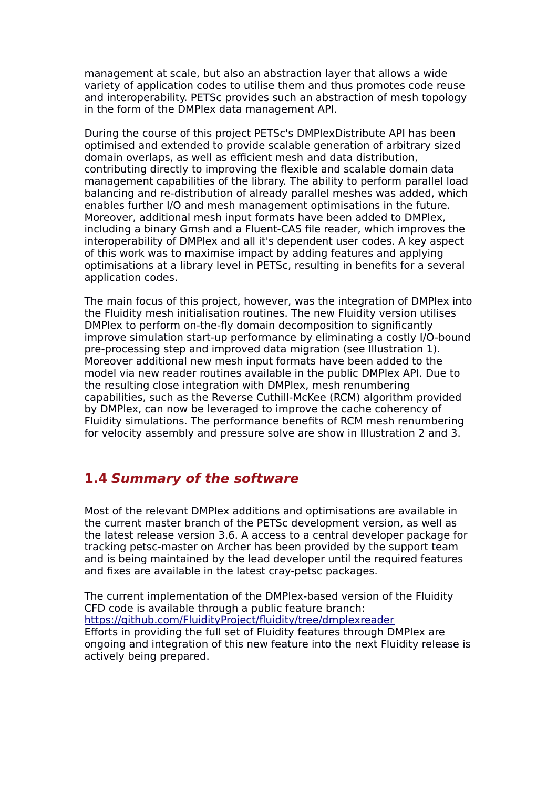management at scale, but also an abstraction layer that allows a wide variety of application codes to utilise them and thus promotes code reuse and interoperability. PETSc provides such an abstraction of mesh topology in the form of the DMPlex data management API.

During the course of this project PETSc's DMPlexDistribute API has been optimised and extended to provide scalable generation of arbitrary sized domain overlaps, as well as efficient mesh and data distribution, contributing directly to improving the flexible and scalable domain data management capabilities of the library. The ability to perform parallel load balancing and re-distribution of already parallel meshes was added, which enables further I/O and mesh management optimisations in the future. Moreover, additional mesh input formats have been added to DMPlex, including a binary Gmsh and a Fluent-CAS file reader, which improves the interoperability of DMPlex and all it's dependent user codes. A key aspect of this work was to maximise impact by adding features and applying optimisations at a library level in PETSc, resulting in benefits for a several application codes.

The main focus of this project, however, was the integration of DMPlex into the Fluidity mesh initialisation routines. The new Fluidity version utilises DMPlex to perform on-the-fly domain decomposition to significantly improve simulation start-up performance by eliminating a costly I/O-bound pre-processing step and improved data migration (see Illustration 1). Moreover additional new mesh input formats have been added to the model via new reader routines available in the public DMPlex API. Due to the resulting close integration with DMPlex, mesh renumbering capabilities, such as the Reverse Cuthill-McKee (RCM) algorithm provided by DMPlex, can now be leveraged to improve the cache coherency of Fluidity simulations. The performance benefits of RCM mesh renumbering for velocity assembly and pressure solve are show in Illustration 2 and 3.

# **1.4 Summary of the software**

Most of the relevant DMPlex additions and optimisations are available in the current master branch of the PETSc development version, as well as the latest release version 3.6. A access to a central developer package for tracking petsc-master on Archer has been provided by the support team and is being maintained by the lead developer until the required features and fixes are available in the latest cray-petsc packages.

The current implementation of the DMPlex-based version of the Fluidity CFD code is available through a public feature branch: <https://github.com/FluidityProject/fluidity/tree/dmplexreader> Efforts in providing the full set of Fluidity features through DMPlex are ongoing and integration of this new feature into the next Fluidity release is actively being prepared.